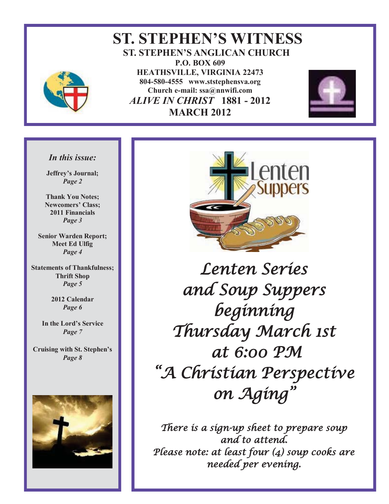

 **ST. STEPHEN'S WITNESS ST. STEPHEN'S ANGLICAN CHURCH P.O. BOX 609 HEATHSVILLE, VIRGINIA 22473 804-580-4555 www.ststephensva.org Church e-mail: ssa@nnwifi.com**   *ALIVE IN CHRIST* **1881 - 2012 MARCH 2012**



#### *In this issue:*

**Jeffrey's Journal;** *Page 2* 

**Thank You Notes; Newcomers' Class; 2011 Financials**  *Page 3* 

**Senior Warden Report; Meet Ed Ulfig**  *Page 4* 

**Statements of Thankfulness; Thrift Shop**  *Page 5* 

> **2012 Calendar**  *Page 6*

**In the Lord's Service** *Page 7* 

**Cruising with St. Stephen's** *Page 8* 





Lenten Series and Soup Suppers beginning Thursday March 1st at 6:00 PM "A Christian Perspective on Aging "

There is a sign-up sheet to prepare soup and to attend. Please note: at least four (4) soup cooks are needed per evening.

I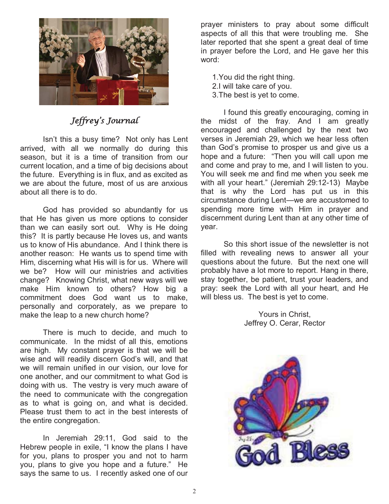

#### Jeffrey's Journal

Isn't this a busy time? Not only has Lent arrived, with all we normally do during this season, but it is a time of transition from our current location, and a time of big decisions about the future. Everything is in flux, and as excited as we are about the future, most of us are anxious about all there is to do.

 God has provided so abundantly for us that He has given us more options to consider than we can easily sort out. Why is He doing this? It is partly because He loves us, and wants us to know of His abundance. And I think there is another reason: He wants us to spend time with Him, discerning what His will is for us. Where will we be? How will our ministries and activities change? Knowing Christ, what new ways will we make Him known to others? How big a commitment does God want us to make, personally and corporately, as we prepare to make the leap to a new church home?

 There is much to decide, and much to communicate. In the midst of all this, emotions are high. My constant prayer is that we will be wise and will readily discern God's will, and that we will remain unified in our vision, our love for one another, and our commitment to what God is doing with us. The vestry is very much aware of the need to communicate with the congregation as to what is going on, and what is decided. Please trust them to act in the best interests of the entire congregation.

 In Jeremiah 29:11, God said to the Hebrew people in exile, "I know the plans I have for you, plans to prosper you and not to harm you, plans to give you hope and a future." He says the same to us. I recently asked one of our

prayer ministers to pray about some difficult aspects of all this that were troubling me. She later reported that she spent a great deal of time in prayer before the Lord, and He gave her this word:

1.You did the right thing.

- 2.I will take care of you.
- 3.The best is yet to come.

 I found this greatly encouraging, coming in the midst of the fray. And I am greatly encouraged and challenged by the next two verses in Jeremiah 29, which we hear less often than God's promise to prosper us and give us a hope and a future: "Then you will call upon me and come and pray to me, and I will listen to you. You will seek me and find me when you seek me with all your heart." (Jeremiah 29:12-13) Maybe that is why the Lord has put us in this circumstance during Lent—we are accustomed to spending more time with Him in prayer and discernment during Lent than at any other time of year.

 So this short issue of the newsletter is not filled with revealing news to answer all your questions about the future. But the next one will probably have a lot more to report. Hang in there, stay together, be patient, trust your leaders, and pray: seek the Lord with all your heart, and He will bless us. The best is yet to come.

> Yours in Christ, Jeffrey O. Cerar, Rector

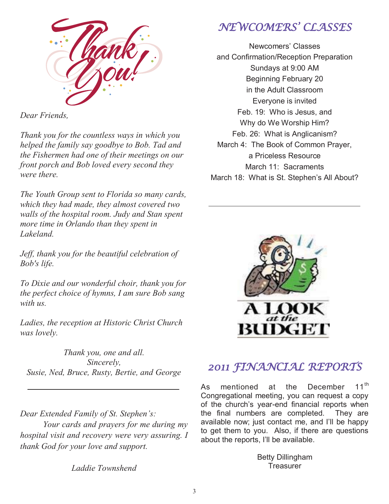

*Dear Friends,* 

*Thank you for the countless ways in which you helped the family say goodbye to Bob. Tad and the Fishermen had one of their meetings on our front porch and Bob loved every second they were there.* 

*The Youth Group sent to Florida so many cards, which they had made, they almost covered two walls of the hospital room. Judy and Stan spent more time in Orlando than they spent in Lakeland.* 

*Jeff, thank you for the beautiful celebration of Bob's life.* 

*To Dixie and our wonderful choir, thank you for the perfect choice of hymns, I am sure Bob sang with us.* 

*Ladies, the reception at Historic Christ Church was lovely.* 

*Thank you, one and all. Sincerely, Susie, Ned, Bruce, Rusty, Bertie, and George* 

*Dear Extended Family of St. Stephen's: Your cards and prayers for me during my hospital visit and recovery were very assuring. I thank God for your love and support.* 

*Laddie Townshend* 

# NEWCOMERS' CLASSES

Newcomers' Classes and Confirmation/Reception Preparation Sundays at 9:00 AM Beginning February 20 in the Adult Classroom Everyone is invited Feb. 19: Who is Jesus, and Why do We Worship Him? Feb. 26: What is Anglicanism? March 4: The Book of Common Prayer, a Priceless Resource March 11: Sacraments March 18: What is St. Stephen's All About?



## 2011 FINANCIAL REPORTS

As mentioned at the December 11<sup>th</sup> Congregational meeting, you can request a copy of the church's year-end financial reports when the final numbers are completed. They are available now; just contact me, and I'll be happy to get them to you. Also, if there are questions about the reports, I'll be available.

> Betty Dillingham **Treasurer**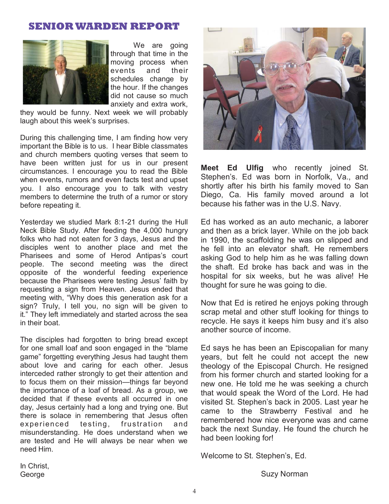#### **SENIOR WARDEN REPORT**



We are going through that time in the moving process when events and their schedules change by the hour. If the changes did not cause so much anxiety and extra work,

they would be funny. Next week we will probably laugh about this week's surprises.

During this challenging time, I am finding how very important the Bible is to us. I hear Bible classmates and church members quoting verses that seem to have been written just for us in our present circumstances. I encourage you to read the Bible when events, rumors and even facts test and upset you. I also encourage you to talk with vestry members to determine the truth of a rumor or story before repeating it.

Yesterday we studied Mark 8:1-21 during the Hull Neck Bible Study. After feeding the 4,000 hungry folks who had not eaten for 3 days, Jesus and the disciples went to another place and met the Pharisees and some of Herod Antipas's court people. The second meeting was the direct opposite of the wonderful feeding experience because the Pharisees were testing Jesus' faith by requesting a sign from Heaven. Jesus ended that meeting with, "Why does this generation ask for a sign? Truly, I tell you, no sign will be given to it." They left immediately and started across the sea in their boat.

The disciples had forgotten to bring bread except for one small loaf and soon engaged in the "blame game" forgetting everything Jesus had taught them about love and caring for each other. Jesus interceded rather strongly to get their attention and to focus them on their mission—things far beyond the importance of a loaf of bread. As a group, we decided that if these events all occurred in one day, Jesus certainly had a long and trying one. But there is solace in remembering that Jesus often experienced testing, frustration and misunderstanding. He does understand when we are tested and He will always be near when we need Him.



**Meet Ed Ulfig** who recently joined St. Stephen's. Ed was born in Norfolk, Va., and shortly after his birth his family moved to San Diego, Ca. His family moved around a lot because his father was in the U.S. Navy.

Ed has worked as an auto mechanic, a laborer and then as a brick layer. While on the job back in 1990, the scaffolding he was on slipped and he fell into an elevator shaft. He remembers asking God to help him as he was falling down the shaft. Ed broke has back and was in the hospital for six weeks, but he was alive! He thought for sure he was going to die.

Now that Ed is retired he enjoys poking through scrap metal and other stuff looking for things to recycle. He says it keeps him busy and it's also another source of income.

Ed says he has been an Episcopalian for many years, but felt he could not accept the new theology of the Episcopal Church. He resigned from his former church and started looking for a new one. He told me he was seeking a church that would speak the Word of the Lord. He had visited St. Stephen's back in 2005. Last year he came to the Strawberry Festival and he remembered how nice everyone was and came back the next Sunday. He found the church he had been looking for!

Welcome to St. Stephen's, Ed.

In Christ, George

Suzy Norman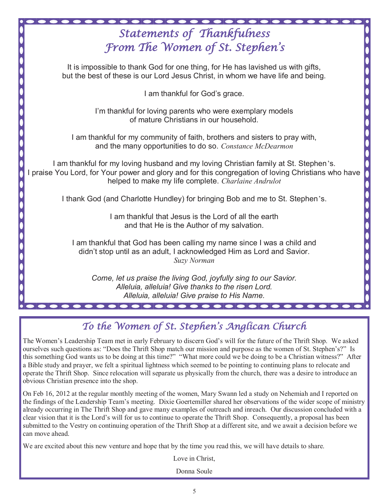| <b>Statements of Thankfulness</b>                                                                                                                                                                                                                |
|--------------------------------------------------------------------------------------------------------------------------------------------------------------------------------------------------------------------------------------------------|
| From The Women of St. Stephen's                                                                                                                                                                                                                  |
|                                                                                                                                                                                                                                                  |
| It is impossible to thank God for one thing, for He has lavished us with gifts,<br>but the best of these is our Lord Jesus Christ, in whom we have life and being.                                                                               |
| I am thankful for God's grace.                                                                                                                                                                                                                   |
| I'm thankful for loving parents who were exemplary models<br>of mature Christians in our household.                                                                                                                                              |
| I am thankful for my community of faith, brothers and sisters to pray with,<br>and the many opportunities to do so. Constance McDearmon                                                                                                          |
| I am thankful for my loving husband and my loving Christian family at St. Stephen's.<br>praise You Lord, for Your power and glory and for this congregation of loving Christians who have<br>helped to make my life complete. Charlaine Andrulot |
| I thank God (and Charlotte Hundley) for bringing Bob and me to St. Stephen's.                                                                                                                                                                    |
| I am thankful that Jesus is the Lord of all the earth<br>and that He is the Author of my salvation.                                                                                                                                              |
| I am thankful that God has been calling my name since I was a child and<br>didn't stop until as an adult, I acknowledged Him as Lord and Savior.<br>Suzy Norman                                                                                  |
| Come, let us praise the living God, joyfully sing to our Savior.<br>Alleluia, alleluia! Give thanks to the risen Lord.<br>Alleluia, alleluia! Give praise to His Name.                                                                           |
|                                                                                                                                                                                                                                                  |

# To the Women of St. Stephen's Anglican Church

The Women's Leadership Team met in early February to discern God's will for the future of the Thrift Shop. We asked ourselves such questions as: "Does the Thrift Shop match our mission and purpose as the women of St. Stephen's?" Is this something God wants us to be doing at this time?" "What more could we be doing to be a Christian witness?" After a Bible study and prayer, we felt a spiritual lightness which seemed to be pointing to continuing plans to relocate and operate the Thrift Shop. Since relocation will separate us physically from the church, there was a desire to introduce an obvious Christian presence into the shop.

On Feb 16, 2012 at the regular monthly meeting of the women, Mary Swann led a study on Nehemiah and I reported on the findings of the Leadership Team's meeting. Dixie Goertemiller shared her observations of the wider scope of ministry already occurring in The Thrift Shop and gave many examples of outreach and inreach. Our discussion concluded with a clear vision that it is the Lord's will for us to continue to operate the Thrift Shop. Consequently, a proposal has been submitted to the Vestry on continuing operation of the Thrift Shop at a different site, and we await a decision before we can move ahead.

We are excited about this new venture and hope that by the time you read this, we will have details to share.

Love in Christ,

Donna Soule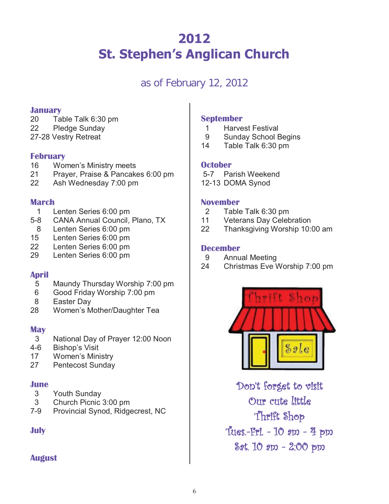# **2012 St. Stephen's Anglican Church**

## as of February 12, 2012

#### **January**

- 20 Table Talk 6:30 pm
- 22 Pledge Sunday
- 27-28 Vestry Retreat

#### **February**

- 16 Women's Ministry meets
- 21 Prayer, Praise & Pancakes 6:00 pm
- 22 Ash Wednesday 7:00 pm

#### **March**

- 1 Lenten Series 6:00 pm
- 5-8 CANA Annual Council, Plano, TX
- 8 Lenten Series 6:00 pm
- 15 Lenten Series 6:00 pm
- 22 Lenten Series 6:00 pm
- 29 Lenten Series 6:00 pm

#### **April**

- 5 Maundy Thursday Worship 7:00 pm
- 6 Good Friday Worship 7:00 pm
- 8 Easter Day
- 28 Women's Mother/Daughter Tea

#### **May**

- 3 National Day of Prayer 12:00 Noon
- 4-6 Bishop's Visit
- 17 Women's Ministry
- 27 Pentecost Sunday

#### **June**

- 3 Youth Sunday
- 3 Church Picnic 3:00 pm
- 7-9 Provincial Synod, Ridgecrest, NC

#### **July**

#### **August**

#### **September**

- 1 Harvest Festival
- 9 Sunday School Begins
- 14 Table Talk 6:30 pm

#### **October**

- 5-7 Parish Weekend
- 12-13 DOMA Synod

#### **November**

- 2 Table Talk 6:30 pm
- 11 Veterans Day Celebration
- 22 Thanksgiving Worship 10:00 am

#### **December**

- 9 Annual Meeting
- 24 Christmas Eve Worship 7:00 pm



Don't forget to visit Our cute little Thrift Shop Tues.-Fri. - 10 am - 4 pm Sat. 10 am - 2:00 pm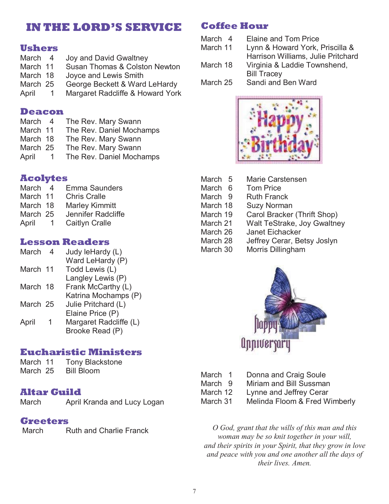## **IN THE LORD'S SERVICE**

#### **Ushers**

- March 4 Joy and David Gwaltney<br>March 11 Susan Thomas & Colstor Susan Thomas & Colston Newton March 18 Joyce and Lewis Smith
- March 25 George Beckett & Ward LeHardy
- April 1 Margaret Radcliffe & Howard York

#### **Deacon**

- March 4 The Rev. Mary Swann
- March 11 The Rev. Daniel Mochamps
- March 18 The Rev. Mary Swann<br>March 25 The Rev. Mary Swann
- The Rev. Mary Swann
- April 1 The Rev. Daniel Mochamps

#### **Acolytes**

- March 4 Emma Saunders<br>March 11 Chris Cralle Chris Cralle
- March 18 Marley Kimmitt
- March 25 Jennifer Radcliffe
- April 1 Caitlyn Cralle

#### **Lesson Readers**

| March    | 4 | Judy leHardy (L)      |
|----------|---|-----------------------|
|          |   | Ward LeHardy (P)      |
| March 11 |   | Todd Lewis (L)        |
|          |   | لاتاكمشيره التملموه ا |

- Langley Lewis (P) March 18 Frank McCarthy (L)
- Katrina Mochamps (P) March 25 Julie Pritchard (L)
- Elaine Price (P)
- April 1 Margaret Radcliffe (L) Brooke Read (P)

#### **Eucharistic Ministers**

| March 11 |  | Tony Blackstone |
|----------|--|-----------------|
|----------|--|-----------------|

March 25 Bill Bloom

#### **Altar Guild**

March April Kranda and Lucy Logan

#### **Greeters**

March Ruth and Charlie Franck

### **Coffee Hour**

- March 4 Elaine and Tom Price
- March 11 Lynn & Howard York, Priscilla &
- Harrison Williams, Julie Pritchard
- March 18 Virginia & Laddie Townshend, Bill Tracey

March 25 Sandi and Ben Ward



| March <sub>5</sub> | <b>Marie Carstensen</b>     |
|--------------------|-----------------------------|
| March 6            | <b>Tom Price</b>            |
| March 9            | <b>Ruth Franck</b>          |
| March 18           | <b>Suzy Norman</b>          |
| March 19           | Carol Bracker (Thrift Shop) |
| March 21           | Walt TeStrake, Joy Gwaltney |
| March 26           | <b>Janet Eichacker</b>      |
| March 28           | Jeffrey Cerar, Betsy Joslyn |
| March 30           | Morris Dillingham           |



| March 1 |  | Donna and Craig Soule |
|---------|--|-----------------------|
| --      |  |                       |

- March 9 Miriam and Bill Sussman
- March 12 Lynne and Jeffrey Cerar
- March 31 Melinda Floom & Fred Wimberly

*O God, grant that the wills of this man and this woman may be so knit together in your will, and their spirits in your Spirit, that they grow in love and peace with you and one another all the days of their lives. Amen.*